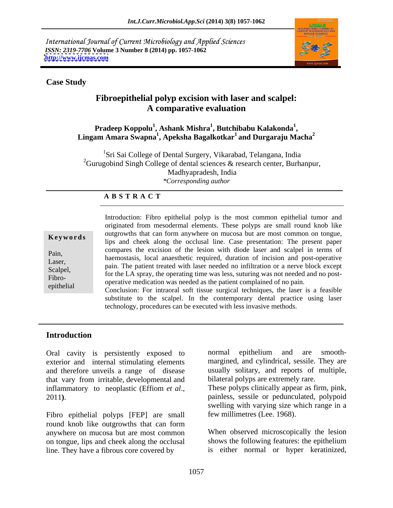International Journal of Current Microbiology and Applied Sciences *ISSN: 2319-7706* **Volume 3 Number 8 (2014) pp. 1057-1062 <http://www.ijcmas.com>**



#### **Case Study**

# **Fibroepithelial polyp excision with laser and scalpel: A comparative evaluation**

#### **Pradeep Koppolu<sup>1</sup> , Ashank Mishra1 , Butchibabu Kalakonda<sup>1</sup>** Pradeep Koppolu<sup>1</sup>, Ashank Mishra<sup>1</sup>, Butchibabu Kalakonda<sup>1</sup>, Lingam Amara Swapna<sup>1</sup>, Apeksha Bagalkotkar<sup>1</sup> and Durgaraju Macha<sup>2</sup> **and Durgaraju Macha<sup>2</sup>**

<sup>1</sup>Sri Sai College of Dental Surgery, Vikarabad, Telangana, India <sup>2</sup>Gurugobind Singh College of dental sciences  $\&$  research center, Burhanpur, Madhyapradesh, India *\*Corresponding author* 

#### **A B S T R A C T**

| Keywords   |
|------------|
| Pain,      |
| Laser,     |
| Scalpel,   |
| Fibro-     |
| epithelial |

**Keywords** lips and cheek along the occlusal line. Case presentation: The present paper Pain,<br>
haemostasis, local anaesthetic required, duration of incision and post-operative Laser,<br>
pain. The patient treated with laser needed no infiltration or a nerve block except Scalpel, Francisco Contract is the particular term in the contract of the LA spray, the operating time was less, suturing was not needed and no post-<br>Either Fibro-<br>operative medication was needed as the patient complained of no pain. epithelial conclusion: For intraoral soft tissue surgical techniques, the laser is a feasible conclusion: For intraoral soft tissue surgical techniques, the laser is a feasible Introduction: Fibro epithelial polyp is the most common epithelial tumor and originated from mesodermal elements. These polyps are small round knob like outgrowths that can form anywhere on mucosa but are most common on tongue, compares the excision of the lesion with diode laser and scalpel in terms of

substitute to the scalpel. In the contemporary dental practice using laser technology, procedures can be executed with less invasive methods.

### **Introduction**

exterior and internal stimulating elements and therefore unveils a range of disease that vary from irritable, developmental and

Fibro epithelial polyps [FEP] are small few millimetres (Lee. 1968). round knob like outgrowths that can form anywhere on mucosa but are most common When observed microscopically the lesion on tongue, lips and cheek along the occlusal shows the following features: the epithelium line. They have a fibrous core covered by

Oral cavity is persistently exposed to normal epithelium and are smoothnormal epithelium and are smooth margined, and cylindrical, sessile. They are usually solitary, and reports of multiple, bilateral polyps are extremely rare.

inflammatory to neoplastic (Effiom *et al.*, These polyps clinically appear as firm, pink, painless, sessile or pedunculated, polypoid These polyps clinically appear as firm, pink, painless, sessile or pedunculated, polypoid swelling with varying size which range in a

few millimetres (Lee. 1968). When observed microscopically the lesion is either normal or hyper keratinized,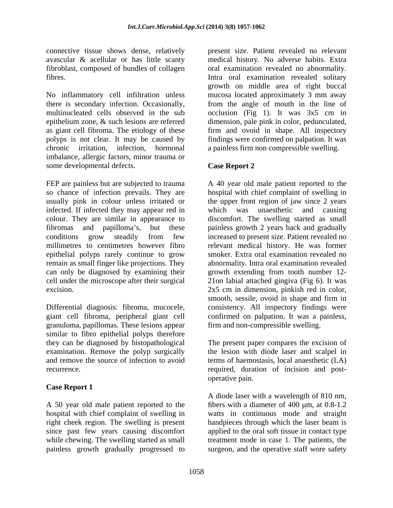connective tissue shows dense, relatively

No inflammatory cell infiltration unless mucosa located approximately 3 mm away there is secondary infection. Occasionally, from the angle of mouth in the line of multinucleated cells observed in the sub occlusion (Fig 1). It was 3x5 cm in epithelium zone, & such lesions are referred dimension, pale pink in color, pedunculated, as giant cell fibroma. The etiology of these firm and ovoid in shape. All inspectory polyps is not clear. It may be caused by findings were confirmed on palpation. It was chronic irritation, infection, hormonal a painless firm non compressible swelling. imbalance, allergic factors, minor trauma or some developmental defects. Case Report 2

FEP are painless but are subjected to trauma A 40 year old male patient reported to the so chance of infection prevails. They are hospital with chief complaint of swelling in usually pink in colour unless irritated or the upper front region of jaw since 2 years infected. If infected they may appear red in which was unaesthetic and causing colour. They are similar in appearance to fibromas and papilloma's, but these painless growth 2 years back and gradually conditions grow steadily from few increased to present size. Patient revealed no millimetres to centimetres however fibro relevant medical history. He was former epithelial polyps rarely continue to grow remain as small finger like projections. They can only be diagnosed by examining their growth extending from tooth number 12 cell under the microscope after their surgical 21on labial attached gingiva (Fig 6). It was excision. 2x5 cm in dimension, pinkish red in color,

granuloma, papillomas. These lesions appear similar to fibro epithelial polyps therefore they can be diagnosed by histopathological The present paper compares the excision of examination. Remove the polyp surgically the lesion with diode laser and scalpel in and remove the source of infection to avoid terms of haemostasis, local anaesthetic (LA)

## **Case Report 1**

A 50 year old male patient reported to the hospital with chief complaint of swelling in watts in continuous mode and straight right cheek region. The swelling is present since past few years causing discomfort applied to the oral soft tissue in contact type while chewing. The swelling started as small treatment mode in case 1. The patients, the painless growth gradually progressed to surgeon, and the operative staff wore safety

avascular & acellular or has little scanty medical history. No adverse habits. Extra fibroblast, composed of bundles of collagen oral examination revealed no abnormality. fibres. Intra oral examination revealed solitary present size. Patient revealed no relevant growth on middle area of right buccal

#### **Case Report 2**

Differential diagnosis: fibroma, mucocele, consistency. All inspectory findings were giant cell fibroma, peripheral giant cell confirmed on palpation. It was a painless, which was unaesthetic and causing discomfort. The swelling started as small smoker. Extra oral examination revealed no abnormality. Intra oral examination revealed smooth, sessile, ovoid in shape and firm in firm and non-compressible swelling.

recurrence. required, duration of incision and post operative pain.

> A diode laser with a wavelength of 810 nm, fibers with a diameter of  $400 \text{ µm}$ , at  $0.8-1.2$ handpieces through which the laser beam is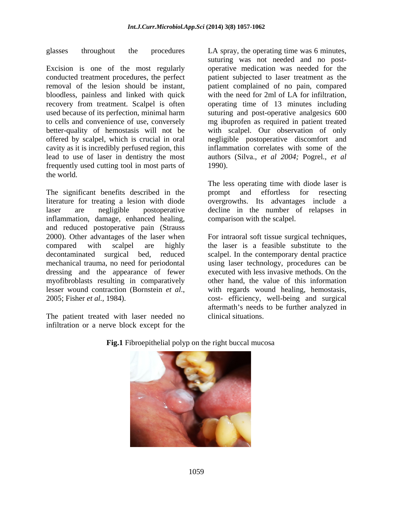Excision is one of the most regularly bloodless, painless and linked with quick cavity as it is incredibly perfused region, this frequently used cutting tool in most parts of the world.

The significant benefits described in the prompt and effortless for resecting literature for treating a lesion with diode laser are negligible postoperative decline in the number of relapses in inflammation, damage, enhanced healing, and reduced postoperative pain (Strauss 2000). Other advantages of the laser when For intraoral soft tissue surgical techniques, compared with scalpel are highly the laser is a feasible substitute to the decontaminated surgical bed, reduced scalpel. In the contemporary dental practice mechanical trauma, no need for periodontal using laser technology, procedures can be dressing and the appearance of fewer myofibroblasts resulting in comparatively lesser wound contraction (Bornstein *et al.*, with regards wound healing, hemostasis, cost-<br>2005; Fisher *et al.*, 1984). cost-efficiency, well-being and surgical

The patient treated with laser needed no infiltration or a nerve block except for the

glasses throughout the procedures LA spray, the operating time was 6 minutes, conducted treatment procedures, the perfect patient subjected to laser treatment as the removal of the lesion should be instant, patient complained of no pain, compared recovery from treatment. Scalpel is often operating time of 13 minutes including used because of its perfection, minimal harm suturing and post-operative analgesics 600 to cells and convenience of use, conversely mg ibuprofen as required in patient treated better-quality of hemostasis will not be with scalpel. Our observation of only offered by scalpel, which is crucial in oral negligible postoperative discomfort and lead to use of laser in dentistry the most authors (Silva., *et al 2004;* Pogrel., *et al* suturing was not needed and no post operative medication was needed for the with the need for 2ml of LA for infiltration, inflammation correlates with some of the 1990).

> The less operating time with diode laser is prompt and effortless for resecting overgrowths. Its advantages include a comparison with the scalpel.

executed with less invasive methods. On the other hand, the value of this information with regards wound healing, hemostasis, cost- efficiency, well-being and surgical aftermath's needs to be further analyzed in clinical situations.



**Fig.1** Fibroepithelial polyp on the right buccal mucosa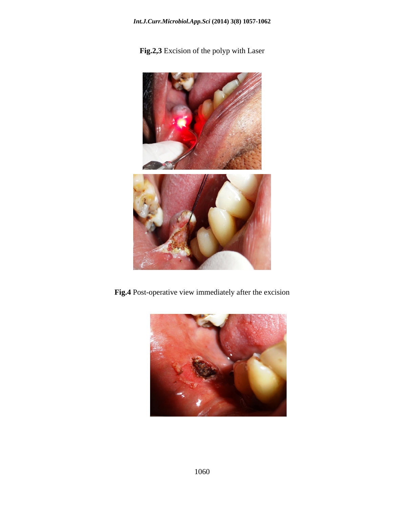**Fig.2,3** Excision of the polyp with Laser



**Fig.4** Post-operative view immediately after the excision

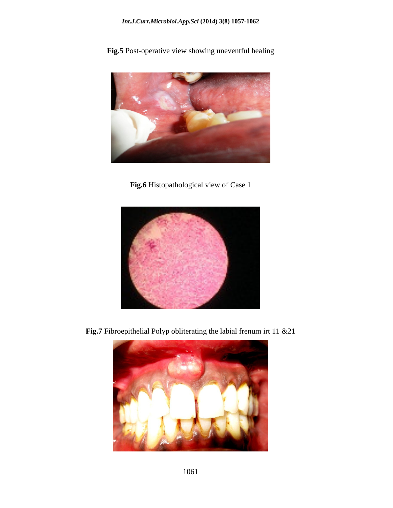**Fig.5** Post-operative view showing uneventful healing



**Fig.6** Histopathological view of Case 1



**Fig.7** Fibroepithelial Polyp obliterating the labial frenum irt 11 &21